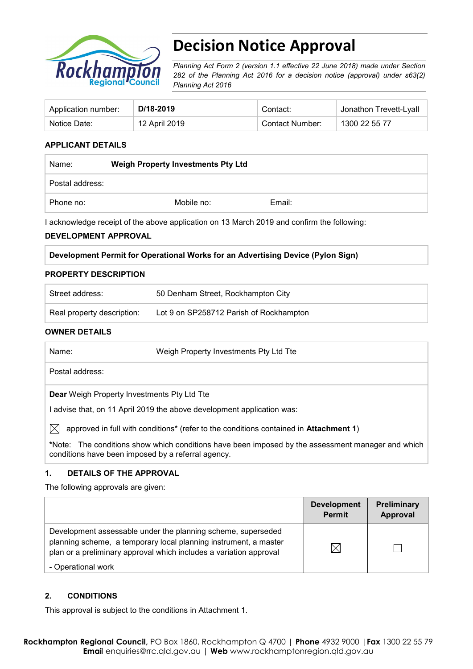

# **Decision Notice Approval**

*Planning Act Form 2 (version 1.1 effective 22 June 2018) made under Section 282 of the Planning Act 2016 for a decision notice (approval) under s63(2) Planning Act 2016*

| Application number: | D/18-2019     | Contact:        | <sup>⊥</sup> Jonathon Trevett-Lyall |
|---------------------|---------------|-----------------|-------------------------------------|
| Notice Date:        | 12 April 2019 | Contact Number: | 1300 22 55 77                       |

## **APPLICANT DETAILS**

| Name:           | <b>Weigh Property Investments Pty Ltd</b> |        |  |
|-----------------|-------------------------------------------|--------|--|
| Postal address: |                                           |        |  |
| Phone no:       | Mobile no:                                | Email: |  |

I acknowledge receipt of the above application on 13 March 2019 and confirm the following:

#### **DEVELOPMENT APPROVAL**

#### **Development Permit for Operational Works for an Advertising Device (Pylon Sign)**

#### **PROPERTY DESCRIPTION**

| Street address:            | 50 Denham Street, Rockhampton City      |
|----------------------------|-----------------------------------------|
| Real property description: | Lot 9 on SP258712 Parish of Rockhampton |

#### **OWNER DETAILS**

| Name:           | Weigh Property Investments Pty Ltd Tte |  |
|-----------------|----------------------------------------|--|
| Postal address: |                                        |  |

**Dear** Weigh Property Investments Pty Ltd Tte

I advise that, on 11 April 2019 the above development application was:

 $\boxtimes$  approved in full with conditions<sup>\*</sup> (refer to the conditions contained in Attachment 1)

**\***Note:The conditions show which conditions have been imposed by the assessment manager and which conditions have been imposed by a referral agency.

#### **1. DETAILS OF THE APPROVAL**

The following approvals are given:

|                                                                                                                                                                                                        | <b>Development</b><br><b>Permit</b> | <b>Preliminary</b><br>Approval |
|--------------------------------------------------------------------------------------------------------------------------------------------------------------------------------------------------------|-------------------------------------|--------------------------------|
| Development assessable under the planning scheme, superseded<br>planning scheme, a temporary local planning instrument, a master<br>plan or a preliminary approval which includes a variation approval |                                     |                                |
| - Operational work                                                                                                                                                                                     |                                     |                                |

#### **2. CONDITIONS**

This approval is subject to the conditions in Attachment 1.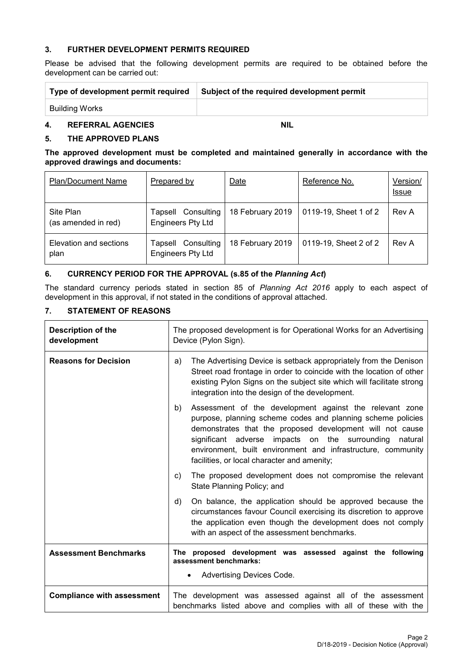#### **3. FURTHER DEVELOPMENT PERMITS REQUIRED**

Please be advised that the following development permits are required to be obtained before the development can be carried out:

| Type of development permit required | Subject of the required development permit |
|-------------------------------------|--------------------------------------------|
| Building Works                      |                                            |

## **4. REFERRAL AGENCIES NIL**

## **5. THE APPROVED PLANS**

#### **The approved development must be completed and maintained generally in accordance with the approved drawings and documents:**

| <b>Plan/Document Name</b>        | Prepared by                                       | Date             | Reference No.         | Version/<br><b>Issue</b> |
|----------------------------------|---------------------------------------------------|------------------|-----------------------|--------------------------|
| Site Plan<br>(as amended in red) | Consulting<br>Tapsell<br><b>Engineers Pty Ltd</b> | 18 February 2019 | 0119-19, Sheet 1 of 2 | Rev A                    |
| Elevation and sections<br>plan   | Consulting<br>Tapsell<br><b>Engineers Pty Ltd</b> | 18 February 2019 | 0119-19, Sheet 2 of 2 | Rev A                    |

## **6. CURRENCY PERIOD FOR THE APPROVAL (s.85 of the** *Planning Act***)**

The standard currency periods stated in section 85 of *Planning Act 2016* apply to each aspect of development in this approval, if not stated in the conditions of approval attached.

## **7. STATEMENT OF REASONS**

| <b>Description of the</b><br>development | The proposed development is for Operational Works for an Advertising<br>Device (Pylon Sign).                                                                                                                                                                                                                                                                       |
|------------------------------------------|--------------------------------------------------------------------------------------------------------------------------------------------------------------------------------------------------------------------------------------------------------------------------------------------------------------------------------------------------------------------|
| <b>Reasons for Decision</b>              | The Advertising Device is setback appropriately from the Denison<br>a)<br>Street road frontage in order to coincide with the location of other<br>existing Pylon Signs on the subject site which will facilitate strong<br>integration into the design of the development.                                                                                         |
|                                          | Assessment of the development against the relevant zone<br>b)<br>purpose, planning scheme codes and planning scheme policies<br>demonstrates that the proposed development will not cause<br>significant adverse impacts on the surrounding natural<br>environment, built environment and infrastructure, community<br>facilities, or local character and amenity; |
|                                          | The proposed development does not compromise the relevant<br>C)<br>State Planning Policy; and                                                                                                                                                                                                                                                                      |
|                                          | d)<br>On balance, the application should be approved because the<br>circumstances favour Council exercising its discretion to approve<br>the application even though the development does not comply<br>with an aspect of the assessment benchmarks.                                                                                                               |
| <b>Assessment Benchmarks</b>             | The proposed development was assessed against the following<br>assessment benchmarks:<br>Advertising Devices Code.                                                                                                                                                                                                                                                 |
| <b>Compliance with assessment</b>        | The development was assessed against all of the assessment<br>benchmarks listed above and complies with all of these with the                                                                                                                                                                                                                                      |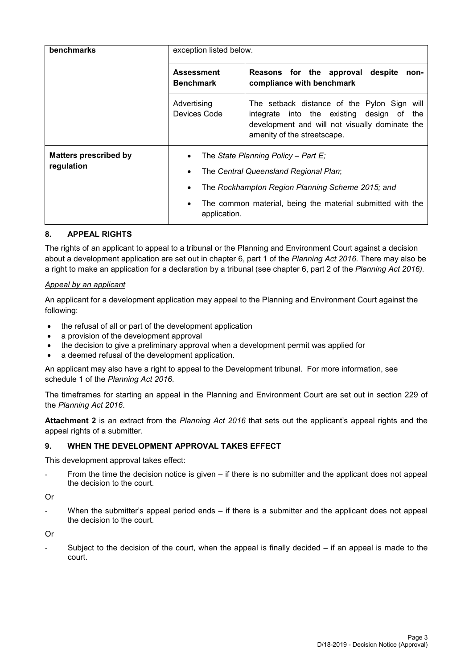| <b>benchmarks</b>                          | exception listed below.                                                           |                                                                                                                                                                              |  |  |
|--------------------------------------------|-----------------------------------------------------------------------------------|------------------------------------------------------------------------------------------------------------------------------------------------------------------------------|--|--|
|                                            | <b>Assessment</b><br><b>Benchmark</b>                                             | Reasons for the approval despite<br>non-<br>compliance with benchmark                                                                                                        |  |  |
|                                            | Advertising<br>Devices Code                                                       | The setback distance of the Pylon Sign will<br>integrate into the existing design of<br>the<br>development and will not visually dominate the<br>amenity of the streetscape. |  |  |
| <b>Matters prescribed by</b><br>regulation | The State Planning Policy – Part E:<br>The Central Queensland Regional Plan;<br>٠ |                                                                                                                                                                              |  |  |
|                                            | The Rockhampton Region Planning Scheme 2015; and<br>٠                             |                                                                                                                                                                              |  |  |
|                                            | The common material, being the material submitted with the<br>٠<br>application.   |                                                                                                                                                                              |  |  |

## **8. APPEAL RIGHTS**

The rights of an applicant to appeal to a tribunal or the Planning and Environment Court against a decision about a development application are set out in chapter 6, part 1 of the *Planning Act 2016*. There may also be a right to make an application for a declaration by a tribunal (see chapter 6, part 2 of the *Planning Act 2016).*

#### *Appeal by an applicant*

An applicant for a development application may appeal to the Planning and Environment Court against the following:

- the refusal of all or part of the development application
- a provision of the development approval
- the decision to give a preliminary approval when a development permit was applied for
- a deemed refusal of the development application.

An applicant may also have a right to appeal to the Development tribunal. For more information, see schedule 1 of the *Planning Act 2016*.

The timeframes for starting an appeal in the Planning and Environment Court are set out in section 229 of the *Planning Act 2016*.

**Attachment 2** is an extract from the *Planning Act 2016* that sets out the applicant's appeal rights and the appeal rights of a submitter.

#### **9. WHEN THE DEVELOPMENT APPROVAL TAKES EFFECT**

This development approval takes effect:

From the time the decision notice is given  $-$  if there is no submitter and the applicant does not appeal the decision to the court.

Or

When the submitter's appeal period ends – if there is a submitter and the applicant does not appeal the decision to the court.

Or

Subject to the decision of the court, when the appeal is finally decided  $-$  if an appeal is made to the court.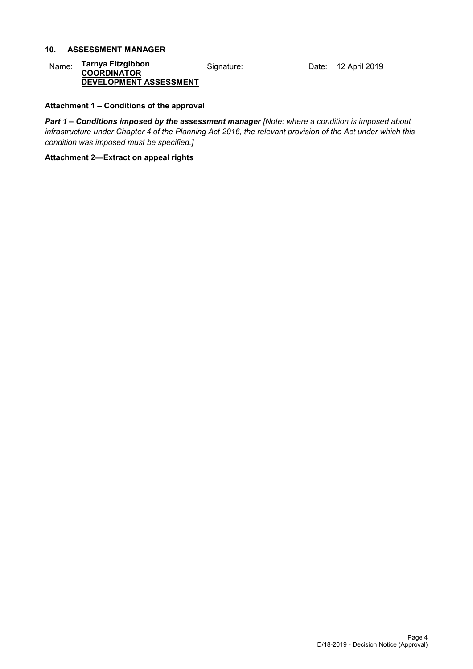## **10. ASSESSMENT MANAGER**

| Name: | Tarnya Fitzgibbon      | Signature: | Date: 12 April 2019 |
|-------|------------------------|------------|---------------------|
|       | <b>COORDINATOR</b>     |            |                     |
|       | DEVELOPMENT ASSESSMENT |            |                     |

#### **Attachment 1 – Conditions of the approval**

*Part 1* **–** *Conditions imposed by the assessment manager [Note: where a condition is imposed about infrastructure under Chapter 4 of the Planning Act 2016, the relevant provision of the Act under which this condition was imposed must be specified.]*

#### **Attachment 2—Extract on appeal rights**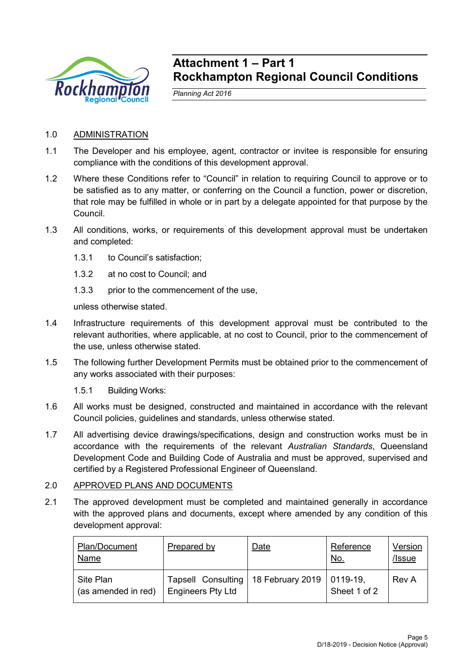

## **Attachment 1 – Part 1 Rockhampton Regional Council Conditions**

*Planning Act 2016*

## 1.0 ADMINISTRATION

- 1.1 The Developer and his employee, agent, contractor or invitee is responsible for ensuring compliance with the conditions of this development approval.
- 1.2 Where these Conditions refer to "Council" in relation to requiring Council to approve or to be satisfied as to any matter, or conferring on the Council a function, power or discretion, that role may be fulfilled in whole or in part by a delegate appointed for that purpose by the Council.
- 1.3 All conditions, works, or requirements of this development approval must be undertaken and completed:
	- 1.3.1 to Council's satisfaction;
	- 1.3.2 at no cost to Council; and
	- 1.3.3 prior to the commencement of the use,

unless otherwise stated.

- 1.4 Infrastructure requirements of this development approval must be contributed to the relevant authorities, where applicable, at no cost to Council, prior to the commencement of the use, unless otherwise stated.
- 1.5 The following further Development Permits must be obtained prior to the commencement of any works associated with their purposes:
	- 1.5.1 Building Works:
- 1.6 All works must be designed, constructed and maintained in accordance with the relevant Council policies, guidelines and standards, unless otherwise stated.
- 1.7 All advertising device drawings/specifications, design and construction works must be in accordance with the requirements of the relevant *Australian Standards*, Queensland Development Code and Building Code of Australia and must be approved, supervised and certified by a Registered Professional Engineer of Queensland.

## 2.0 APPROVED PLANS AND DOCUMENTS

2.1 The approved development must be completed and maintained generally in accordance with the approved plans and documents, except where amended by any condition of this development approval:

| Plan/Document<br><b>Name</b>     | Prepared by                                                       | Date | Reference<br><u>No.</u>     | Version<br>/Issue |
|----------------------------------|-------------------------------------------------------------------|------|-----------------------------|-------------------|
| Site Plan<br>(as amended in red) | Tapsell Consulting   18 February 2019<br><b>Engineers Pty Ltd</b> |      | $ 0119-19 $<br>Sheet 1 of 2 | Rev A             |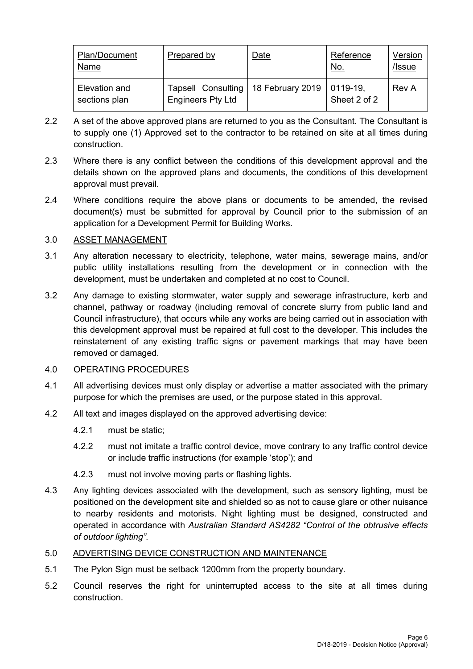| Plan/Document<br>Name          | Prepared by                                           | Date             | Reference<br><u>No.</u>  | Version<br>/Issue |
|--------------------------------|-------------------------------------------------------|------------------|--------------------------|-------------------|
| Elevation and<br>sections plan | <b>Tapsell Consulting</b><br><b>Engineers Pty Ltd</b> | 18 February 2019 | 0119-19,<br>Sheet 2 of 2 | Rev A             |

- 2.2 A set of the above approved plans are returned to you as the Consultant. The Consultant is to supply one (1) Approved set to the contractor to be retained on site at all times during construction.
- 2.3 Where there is any conflict between the conditions of this development approval and the details shown on the approved plans and documents, the conditions of this development approval must prevail.
- 2.4 Where conditions require the above plans or documents to be amended, the revised document(s) must be submitted for approval by Council prior to the submission of an application for a Development Permit for Building Works.

## 3.0 ASSET MANAGEMENT

- 3.1 Any alteration necessary to electricity, telephone, water mains, sewerage mains, and/or public utility installations resulting from the development or in connection with the development, must be undertaken and completed at no cost to Council.
- 3.2 Any damage to existing stormwater, water supply and sewerage infrastructure, kerb and channel, pathway or roadway (including removal of concrete slurry from public land and Council infrastructure), that occurs while any works are being carried out in association with this development approval must be repaired at full cost to the developer. This includes the reinstatement of any existing traffic signs or pavement markings that may have been removed or damaged.

## 4.0 OPERATING PROCEDURES

- 4.1 All advertising devices must only display or advertise a matter associated with the primary purpose for which the premises are used, or the purpose stated in this approval.
- 4.2 All text and images displayed on the approved advertising device:
	- 4.2.1 must be static;
	- 4.2.2 must not imitate a traffic control device, move contrary to any traffic control device or include traffic instructions (for example 'stop'); and
	- 4.2.3 must not involve moving parts or flashing lights.
- 4.3 Any lighting devices associated with the development, such as sensory lighting, must be positioned on the development site and shielded so as not to cause glare or other nuisance to nearby residents and motorists. Night lighting must be designed, constructed and operated in accordance with *Australian Standard AS4282 "Control of the obtrusive effects of outdoor lighting"*.

## 5.0 ADVERTISING DEVICE CONSTRUCTION AND MAINTENANCE

- 5.1 The Pylon Sign must be setback 1200mm from the property boundary.
- 5.2 Council reserves the right for uninterrupted access to the site at all times during construction.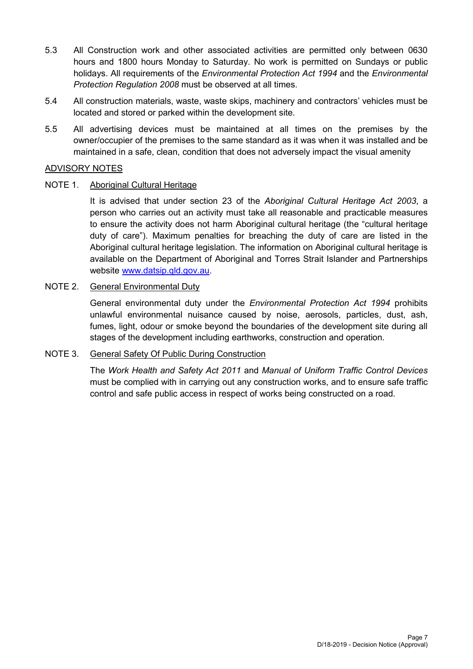- 5.3 All Construction work and other associated activities are permitted only between 0630 hours and 1800 hours Monday to Saturday. No work is permitted on Sundays or public holidays. All requirements of the *Environmental Protection Act 1994* and the *Environmental Protection Regulation 2008* must be observed at all times.
- 5.4 All construction materials, waste, waste skips, machinery and contractors' vehicles must be located and stored or parked within the development site.
- 5.5 All advertising devices must be maintained at all times on the premises by the owner/occupier of the premises to the same standard as it was when it was installed and be maintained in a safe, clean, condition that does not adversely impact the visual amenity

## ADVISORY NOTES

## NOTE 1. Aboriginal Cultural Heritage

It is advised that under section 23 of the *Aboriginal Cultural Heritage Act 2003*, a person who carries out an activity must take all reasonable and practicable measures to ensure the activity does not harm Aboriginal cultural heritage (the "cultural heritage duty of care"). Maximum penalties for breaching the duty of care are listed in the Aboriginal cultural heritage legislation. The information on Aboriginal cultural heritage is available on the Department of Aboriginal and Torres Strait Islander and Partnerships website [www.datsip.qld.gov.au.](http://www.datsip.qld.gov.au/)

## NOTE 2. General Environmental Duty

General environmental duty under the *Environmental Protection Act 1994* prohibits unlawful environmental nuisance caused by noise, aerosols, particles, dust, ash, fumes, light, odour or smoke beyond the boundaries of the development site during all stages of the development including earthworks, construction and operation.

## NOTE 3. General Safety Of Public During Construction

The *Work Health and Safety Act 2011* and *Manual of Uniform Traffic Control Devices* must be complied with in carrying out any construction works, and to ensure safe traffic control and safe public access in respect of works being constructed on a road.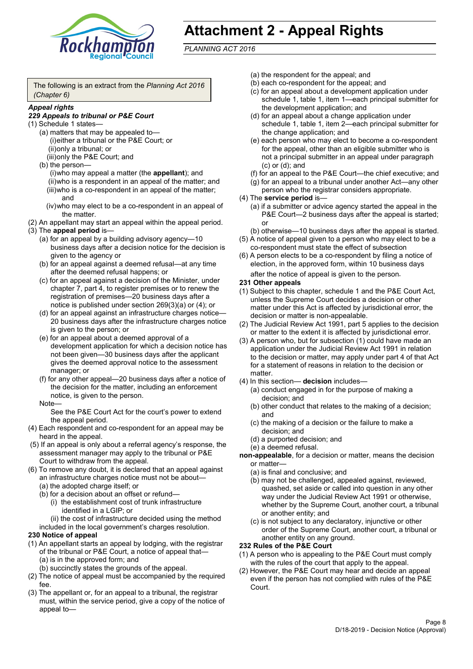

# **Attachment 2 - Appeal Rights**

*PLANNING ACT 2016*

The following is an extract from the *Planning Act 2016 (Chapter 6)*

#### *Appeal rights*

#### *229 Appeals to tribunal or P&E Court*

- (1) Schedule 1 states—
	- (a) matters that may be appealed to— (i)either a tribunal or the P&E Court; or (ii)only a tribunal; or (iii)only the P&E Court; and
	- (b) the person—

(i)who may appeal a matter (the **appellant**); and (ii)who is a respondent in an appeal of the matter; and (iii)who is a co-respondent in an appeal of the matter; and

- (iv)who may elect to be a co-respondent in an appeal of the matter.
- (2) An appellant may start an appeal within the appeal period.
- (3) The **appeal period** is—
	- (a) for an appeal by a building advisory agency—10 business days after a decision notice for the decision is given to the agency or
	- (b) for an appeal against a deemed refusal—at any time after the deemed refusal happens; or
	- (c) for an appeal against a decision of the Minister, under chapter 7, part 4, to register premises or to renew the registration of premises—20 business days after a notice is published under section 269(3)(a) or (4); or
	- (d) for an appeal against an infrastructure charges notice— 20 business days after the infrastructure charges notice is given to the person; or
	- (e) for an appeal about a deemed approval of a development application for which a decision notice has not been given—30 business days after the applicant gives the deemed approval notice to the assessment manager; or
	- (f) for any other appeal—20 business days after a notice of the decision for the matter, including an enforcement notice, is given to the person.

#### Note—

See the P&E Court Act for the court's power to extend the appeal period.

- (4) Each respondent and co-respondent for an appeal may be heard in the appeal.
- (5) If an appeal is only about a referral agency's response, the assessment manager may apply to the tribunal or P&E Court to withdraw from the appeal.
- (6) To remove any doubt, it is declared that an appeal against an infrastructure charges notice must not be about—
	- (a) the adopted charge itself; or
	- (b) for a decision about an offset or refund—
		- (i) the establishment cost of trunk infrastructure identified in a LGIP; or

(ii) the cost of infrastructure decided using the method

included in the local government's charges resolution.

- **230 Notice of appeal**
- (1) An appellant starts an appeal by lodging, with the registrar of the tribunal or P&E Court, a notice of appeal that—
	- (a) is in the approved form; and
	- (b) succinctly states the grounds of the appeal.
- (2) The notice of appeal must be accompanied by the required fee.
- (3) The appellant or, for an appeal to a tribunal, the registrar must, within the service period, give a copy of the notice of appeal to—
- (a) the respondent for the appeal; and
- (b) each co-respondent for the appeal; and
- (c) for an appeal about a development application under schedule 1, table 1, item 1—each principal submitter for the development application; and
- (d) for an appeal about a change application under schedule 1, table 1, item 2—each principal submitter for the change application; and
- (e) each person who may elect to become a co-respondent for the appeal, other than an eligible submitter who is not a principal submitter in an appeal under paragraph (c) or (d); and
- (f) for an appeal to the P&E Court—the chief executive; and
- (g) for an appeal to a tribunal under another Act—any other person who the registrar considers appropriate.
- (4) The **service period** is—
	- (a) if a submitter or advice agency started the appeal in the P&E Court—2 business days after the appeal is started; or
	- (b) otherwise—10 business days after the appeal is started.
- (5) A notice of appeal given to a person who may elect to be a co-respondent must state the effect of subsection
- (6) A person elects to be a co-respondent by filing a notice of election, in the approved form, within 10 business days after the notice of appeal is given to the person*.*
- **231 Other appeals**
- (1) Subject to this chapter, schedule 1 and the P&E Court Act, unless the Supreme Court decides a decision or other matter under this Act is affected by jurisdictional error, the decision or matter is non-appealable.
- (2) The Judicial Review Act 1991, part 5 applies to the decision or matter to the extent it is affected by jurisdictional error.
- (3) A person who, but for subsection (1) could have made an application under the Judicial Review Act 1991 in relation to the decision or matter, may apply under part 4 of that Act for a statement of reasons in relation to the decision or matter.
- (4) In this section— **decision** includes—
	- (a) conduct engaged in for the purpose of making a decision; and
	- (b) other conduct that relates to the making of a decision; and
	- (c) the making of a decision or the failure to make a decision; and
	- (d) a purported decision; and
	- (e) a deemed refusal.

**non-appealable**, for a decision or matter, means the decision or matter—

- (a) is final and conclusive; and
- (b) may not be challenged, appealed against, reviewed, quashed, set aside or called into question in any other way under the Judicial Review Act 1991 or otherwise, whether by the Supreme Court, another court, a tribunal or another entity; and
- (c) is not subject to any declaratory, injunctive or other order of the Supreme Court, another court, a tribunal or another entity on any ground.

#### **232 Rules of the P&E Court**

- (1) A person who is appealing to the P&E Court must comply with the rules of the court that apply to the appeal.
- (2) However, the P&E Court may hear and decide an appeal even if the person has not complied with rules of the P&E Court.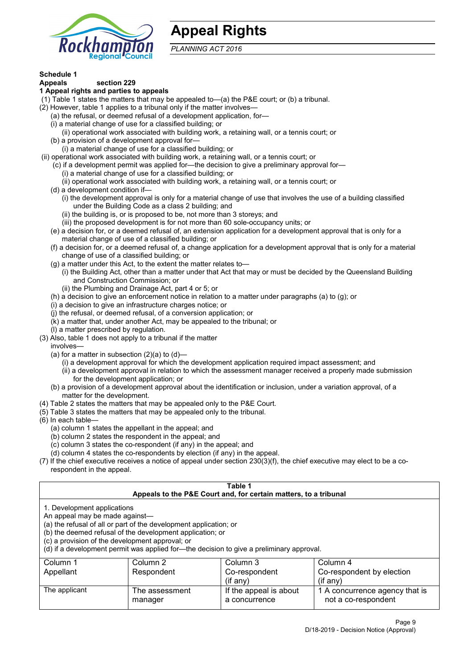

## **Appeal Rights**

*PLANNING ACT 2016*

## **Schedule 1**

#### **Appeals section 229 1 Appeal rights and parties to appeals**

- (1) Table 1 states the matters that may be appealed to—(a) the P&E court; or (b) a tribunal.
- (2) However, table 1 applies to a tribunal only if the matter involves—
	- (a) the refusal, or deemed refusal of a development application, for—
	- (i) a material change of use for a classified building; or
	- (ii) operational work associated with building work, a retaining wall, or a tennis court; or
	- (b) a provision of a development approval for—
	- (i) a material change of use for a classified building; or
- (ii) operational work associated with building work, a retaining wall, or a tennis court; or
	- (c) if a development permit was applied for—the decision to give a preliminary approval for—
		- (i) a material change of use for a classified building; or
		- (ii) operational work associated with building work, a retaining wall, or a tennis court; or
	- (d) a development condition if—
		- (i) the development approval is only for a material change of use that involves the use of a building classified under the Building Code as a class 2 building; and
		- (ii) the building is, or is proposed to be, not more than 3 storeys; and
		- (iii) the proposed development is for not more than 60 sole-occupancy units; or
	- (e) a decision for, or a deemed refusal of, an extension application for a development approval that is only for a material change of use of a classified building; or
	- (f) a decision for, or a deemed refusal of, a change application for a development approval that is only for a material change of use of a classified building; or
	- (g) a matter under this Act, to the extent the matter relates to—
		- (i) the Building Act, other than a matter under that Act that may or must be decided by the Queensland Building and Construction Commission; or
		- (ii) the Plumbing and Drainage Act, part 4 or 5; or
	- (h) a decision to give an enforcement notice in relation to a matter under paragraphs (a) to (g); or
	- (i) a decision to give an infrastructure charges notice; or
	- (j) the refusal, or deemed refusal, of a conversion application; or
	- (k) a matter that, under another Act, may be appealed to the tribunal; or
	- (l) a matter prescribed by regulation.
- (3) Also, table 1 does not apply to a tribunal if the matter

involves—

- (a) for a matter in subsection  $(2)(a)$  to  $(d)$ 
	- (i) a development approval for which the development application required impact assessment; and
	- (ii) a development approval in relation to which the assessment manager received a properly made submission for the development application; or
- (b) a provision of a development approval about the identification or inclusion, under a variation approval, of a matter for the development.
- (4) Table 2 states the matters that may be appealed only to the P&E Court.
- (5) Table 3 states the matters that may be appealed only to the tribunal.
- (6) In each table—
	- (a) column 1 states the appellant in the appeal; and
	- (b) column 2 states the respondent in the appeal; and
	- (c) column 3 states the co-respondent (if any) in the appeal; and
	- (d) column 4 states the co-respondents by election (if any) in the appeal.
- (7) If the chief executive receives a notice of appeal under section 230(3)(f), the chief executive may elect to be a corespondent in the appeal.

| Table 1                                                                                                                                                                                                                                                                                                                                        |                                  |                                                                  |                                                       |  |  |
|------------------------------------------------------------------------------------------------------------------------------------------------------------------------------------------------------------------------------------------------------------------------------------------------------------------------------------------------|----------------------------------|------------------------------------------------------------------|-------------------------------------------------------|--|--|
|                                                                                                                                                                                                                                                                                                                                                |                                  | Appeals to the P&E Court and, for certain matters, to a tribunal |                                                       |  |  |
| 1. Development applications<br>An appeal may be made against-<br>(a) the refusal of all or part of the development application; or<br>(b) the deemed refusal of the development application; or<br>(c) a provision of the development approval; or<br>(d) if a development permit was applied for-the decision to give a preliminary approval. |                                  |                                                                  |                                                       |  |  |
| Column 1                                                                                                                                                                                                                                                                                                                                       | Column 2<br>Column 3<br>Column 4 |                                                                  |                                                       |  |  |
| Appellant                                                                                                                                                                                                                                                                                                                                      | Respondent                       | Co-respondent                                                    | Co-respondent by election                             |  |  |
| $($ if any $)$<br>$(i$ f anv $)$                                                                                                                                                                                                                                                                                                               |                                  |                                                                  |                                                       |  |  |
| The applicant                                                                                                                                                                                                                                                                                                                                  | The assessment<br>manager        | If the appeal is about<br>a concurrence                          | 1 A concurrence agency that is<br>not a co-respondent |  |  |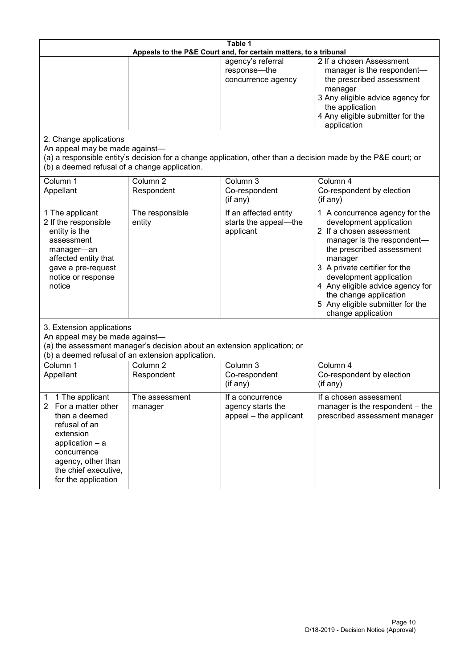| Table 1<br>Appeals to the P&E Court and, for certain matters, to a tribunal                                                                                                                                      |                                   |                                                                 |                                                                                                                                                                                                                                                                                                                                                 |  |
|------------------------------------------------------------------------------------------------------------------------------------------------------------------------------------------------------------------|-----------------------------------|-----------------------------------------------------------------|-------------------------------------------------------------------------------------------------------------------------------------------------------------------------------------------------------------------------------------------------------------------------------------------------------------------------------------------------|--|
|                                                                                                                                                                                                                  |                                   | agency's referral<br>response-the<br>concurrence agency         | 2 If a chosen Assessment<br>manager is the respondent-<br>the prescribed assessment<br>manager<br>3 Any eligible advice agency for<br>the application<br>4 Any eligible submitter for the<br>application                                                                                                                                        |  |
| 2. Change applications<br>An appeal may be made against-<br>(b) a deemed refusal of a change application.                                                                                                        |                                   |                                                                 | (a) a responsible entity's decision for a change application, other than a decision made by the P&E court; or                                                                                                                                                                                                                                   |  |
| Column 1<br>Appellant                                                                                                                                                                                            | Column <sub>2</sub><br>Respondent | Column 3<br>Co-respondent<br>(if any)                           | Column 4<br>Co-respondent by election<br>(if any)                                                                                                                                                                                                                                                                                               |  |
| 1 The applicant<br>2 If the responsible<br>entity is the<br>assessment<br>manager-an<br>affected entity that<br>gave a pre-request<br>notice or response<br>notice                                               | The responsible<br>entity         | If an affected entity<br>starts the appeal-the<br>applicant     | 1 A concurrence agency for the<br>development application<br>2 If a chosen assessment<br>manager is the respondent-<br>the prescribed assessment<br>manager<br>3 A private certifier for the<br>development application<br>4 Any eligible advice agency for<br>the change application<br>5 Any eligible submitter for the<br>change application |  |
| 3. Extension applications<br>An appeal may be made against-<br>(a) the assessment manager's decision about an extension application; or<br>(b) a deemed refusal of an extension application.                     |                                   |                                                                 |                                                                                                                                                                                                                                                                                                                                                 |  |
| Column 1<br>Appellant                                                                                                                                                                                            | Column <sub>2</sub><br>Respondent | Column 3<br>Co-respondent<br>(if any)                           | Column 4<br>Co-respondent by election<br>(if any)                                                                                                                                                                                                                                                                                               |  |
| 1 The applicant<br>1<br>For a matter other<br>$\mathbf{2}$<br>than a deemed<br>refusal of an<br>extension<br>application - a<br>concurrence<br>agency, other than<br>the chief executive,<br>for the application | The assessment<br>manager         | If a concurrence<br>agency starts the<br>appeal - the applicant | If a chosen assessment<br>manager is the respondent – the<br>prescribed assessment manager                                                                                                                                                                                                                                                      |  |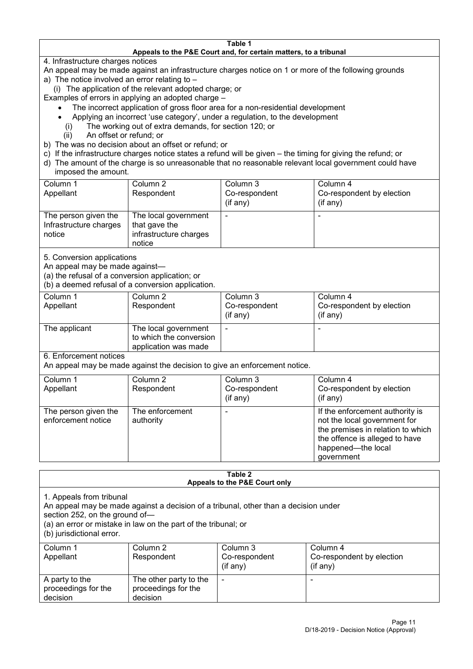#### **Table 1 Appeals to the P&E Court and, for certain matters, to a tribunal**

4. Infrastructure charges notices

- An appeal may be made against an infrastructure charges notice on 1 or more of the following grounds
- a) The notice involved an error relating to
	- (i) The application of the relevant adopted charge; or
- Examples of errors in applying an adopted charge
	- The incorrect application of gross floor area for a non-residential development
	- Applying an incorrect 'use category', under a regulation, to the development
	- (i) The working out of extra demands, for section 120; or
	- (ii) An offset or refund; or
- b) The was no decision about an offset or refund; or
- c) If the infrastructure charges notice states a refund will be given the timing for giving the refund; or
- d) The amount of the charge is so unreasonable that no reasonable relevant local government could have
- imposed the amount.

| Column 1                                                 | Column 2                                                                  | Column 3      | Column 4                  |
|----------------------------------------------------------|---------------------------------------------------------------------------|---------------|---------------------------|
| Appellant                                                | Respondent                                                                | Co-respondent | Co-respondent by election |
|                                                          |                                                                           | (if any)      | (if any)                  |
| The person given the<br>Infrastructure charges<br>notice | The local government<br>that gave the<br>infrastructure charges<br>notice |               | -                         |

5. Conversion applications

An appeal may be made against—

(a) the refusal of a conversion application; or

(b) a deemed refusal of a conversion application.

| Column 1<br>Appellant | Column 2<br>Respondent                                                  | Column 3<br>Co-respondent | Column 4<br>Co-respondent by election |
|-----------------------|-------------------------------------------------------------------------|---------------------------|---------------------------------------|
|                       |                                                                         | $($ if any $)$            | $(if$ any)                            |
| The applicant         | The local government<br>to which the conversion<br>application was made |                           |                                       |

6. Enforcement notices

An appeal may be made against the decision to give an enforcement notice.

| Column 1                                   | Column 2                     | Column 3      | Column 4                                                                                                                                                                   |
|--------------------------------------------|------------------------------|---------------|----------------------------------------------------------------------------------------------------------------------------------------------------------------------------|
| Appellant                                  | Respondent                   | Co-respondent | Co-respondent by election                                                                                                                                                  |
|                                            |                              | (if any)      | (if any)                                                                                                                                                                   |
| The person given the<br>enforcement notice | The enforcement<br>authority |               | If the enforcement authority is<br>not the local government for<br>the premises in relation to which<br>the offence is alleged to have<br>happened-the local<br>government |

#### **Table 2 Appeals to the P&E Court only**

1. Appeals from tribunal

An appeal may be made against a decision of a tribunal, other than a decision under

section 252, on the ground of—

(a) an error or mistake in law on the part of the tribunal; or

(b) jurisdictional error.

| Column 1<br>Appellant                             | Column 2<br>Respondent                                    | Column 3<br>Co-respondent<br>$($ if any $)$ | Column 4<br>Co-respondent by election<br>$($ if any $)$ |
|---------------------------------------------------|-----------------------------------------------------------|---------------------------------------------|---------------------------------------------------------|
| A party to the<br>proceedings for the<br>decision | The other party to the<br>proceedings for the<br>decision | -                                           |                                                         |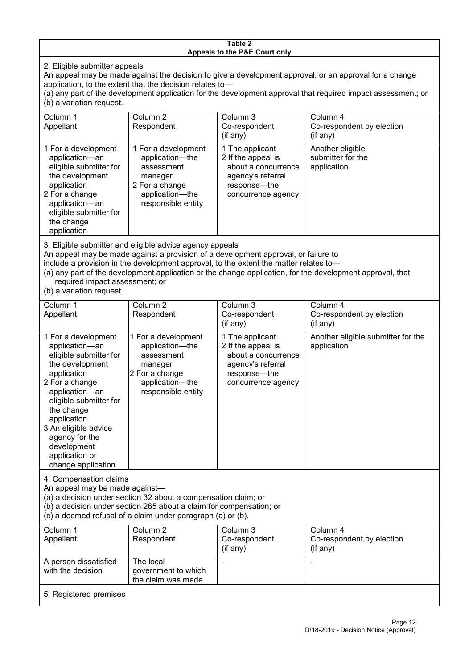#### **Table 2 Appeals to the P&E Court only**

2. Eligible submitter appeals

An appeal may be made against the decision to give a development approval, or an approval for a change application, to the extent that the decision relates to—

(a) any part of the development application for the development approval that required impact assessment; or (b) a variation request.

| Column 1                                                                                                                                                                                                                                                                                                                                             | Column 2                                                                                                                   | Column 3                                                                                                                | Column 4                                             |  |
|------------------------------------------------------------------------------------------------------------------------------------------------------------------------------------------------------------------------------------------------------------------------------------------------------------------------------------------------------|----------------------------------------------------------------------------------------------------------------------------|-------------------------------------------------------------------------------------------------------------------------|------------------------------------------------------|--|
| Appellant                                                                                                                                                                                                                                                                                                                                            | Respondent                                                                                                                 | Co-respondent                                                                                                           | Co-respondent by election                            |  |
|                                                                                                                                                                                                                                                                                                                                                      |                                                                                                                            | $($ if any $)$                                                                                                          | (if any)                                             |  |
| 1 For a development<br>application-an<br>eligible submitter for<br>the development<br>application<br>2 For a change<br>application-an<br>eligible submitter for<br>the change<br>application                                                                                                                                                         | 1 For a development<br>application—the<br>assessment<br>manager<br>2 For a change<br>application-the<br>responsible entity | 1 The applicant<br>2 If the appeal is<br>about a concurrence<br>agency's referral<br>response—the<br>concurrence agency | Another eligible<br>submitter for the<br>application |  |
| 3. Eligible submitter and eligible advice agency appeals<br>An appeal may be made against a provision of a development approval, or failure to<br>include a provision in the development approval, to the extent the matter relates to-<br>(a) any part of the development application or the change application, for the development approval, that |                                                                                                                            |                                                                                                                         |                                                      |  |

required impact assessment; or

(b) a variation request.

| Column 1<br>Appellant                                                                                                                                                                                                                                                                         | Column <sub>2</sub><br>Respondent                                                                                          | Column <sub>3</sub><br>Co-respondent<br>(if any)                                                                        | Column 4<br>Co-respondent by election<br>(if any) |
|-----------------------------------------------------------------------------------------------------------------------------------------------------------------------------------------------------------------------------------------------------------------------------------------------|----------------------------------------------------------------------------------------------------------------------------|-------------------------------------------------------------------------------------------------------------------------|---------------------------------------------------|
| 1 For a development<br>application-an<br>eligible submitter for<br>the development<br>application<br>2 For a change<br>application-an<br>eligible submitter for<br>the change<br>application<br>3 An eligible advice<br>agency for the<br>development<br>application or<br>change application | 1 For a development<br>application-the<br>assessment<br>manager<br>2 For a change<br>application-the<br>responsible entity | 1 The applicant<br>2 If the appeal is<br>about a concurrence<br>agency's referral<br>response-the<br>concurrence agency | Another eligible submitter for the<br>application |
| 4. Compensation claims<br>An appeal may be made against-<br>(a) a decision under section 32 about a compensation claim; or<br>(b) a decision under section 265 about a claim for compensation; or<br>(c) a deemed refusal of a claim under paragraph (a) or (b).                              |                                                                                                                            |                                                                                                                         |                                                   |
| Column 1<br>Appellant                                                                                                                                                                                                                                                                         | Column <sub>2</sub><br>Respondent                                                                                          | Column 3<br>Co-respondent<br>(if any)                                                                                   | Column 4<br>Co-respondent by election<br>(if any) |
| A person dissatisfied<br>with the decision                                                                                                                                                                                                                                                    | The local<br>government to which<br>the claim was made                                                                     |                                                                                                                         |                                                   |

5. Registered premises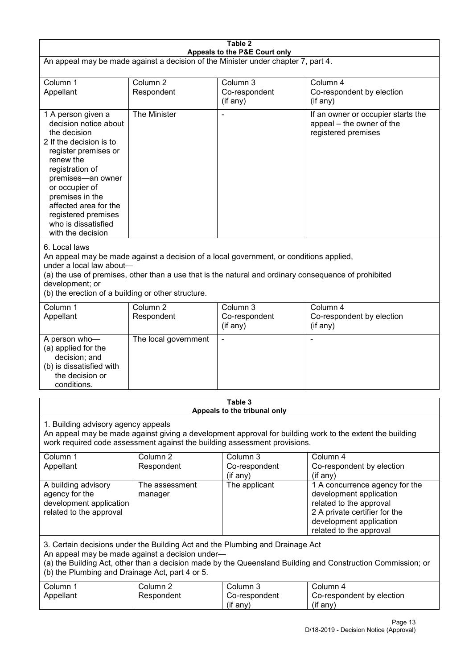| Table 2<br>Appeals to the P&E Court only                                                                                                                                                                                                                                                             |                                   |                                                                                                                                                                                                |                                                                                                                                                                             |  |
|------------------------------------------------------------------------------------------------------------------------------------------------------------------------------------------------------------------------------------------------------------------------------------------------------|-----------------------------------|------------------------------------------------------------------------------------------------------------------------------------------------------------------------------------------------|-----------------------------------------------------------------------------------------------------------------------------------------------------------------------------|--|
| An appeal may be made against a decision of the Minister under chapter 7, part 4.                                                                                                                                                                                                                    |                                   |                                                                                                                                                                                                |                                                                                                                                                                             |  |
| Column 1<br>Appellant                                                                                                                                                                                                                                                                                | Column <sub>2</sub><br>Respondent | Column 3<br>Co-respondent<br>(if any)                                                                                                                                                          | Column 4<br>Co-respondent by election<br>(if any)                                                                                                                           |  |
| 1 A person given a<br>decision notice about<br>the decision<br>2 If the decision is to<br>register premises or<br>renew the<br>registration of<br>premises-an owner<br>or occupier of<br>premises in the<br>affected area for the<br>registered premises<br>who is dissatisfied<br>with the decision | The Minister                      |                                                                                                                                                                                                | If an owner or occupier starts the<br>appeal – the owner of the<br>registered premises                                                                                      |  |
| 6. Local laws<br>under a local law about-<br>development; or<br>(b) the erection of a building or other structure.                                                                                                                                                                                   |                                   | An appeal may be made against a decision of a local government, or conditions applied,<br>(a) the use of premises, other than a use that is the natural and ordinary consequence of prohibited |                                                                                                                                                                             |  |
| Column 1<br>Appellant                                                                                                                                                                                                                                                                                | Column <sub>2</sub><br>Respondent | Column 3<br>Co-respondent<br>(if any)                                                                                                                                                          | Column 4<br>Co-respondent by election<br>(if any)                                                                                                                           |  |
| A person who-<br>(a) applied for the<br>decision; and<br>(b) is dissatisfied with<br>the decision or<br>conditions.                                                                                                                                                                                  | The local government              |                                                                                                                                                                                                |                                                                                                                                                                             |  |
|                                                                                                                                                                                                                                                                                                      |                                   | Table 3<br>Appeals to the tribunal only                                                                                                                                                        |                                                                                                                                                                             |  |
| 1. Building advisory agency appeals<br>An appeal may be made against giving a development approval for building work to the extent the building<br>work required code assessment against the building assessment provisions.                                                                         |                                   |                                                                                                                                                                                                |                                                                                                                                                                             |  |
| Column 1<br>Appellant                                                                                                                                                                                                                                                                                | Column <sub>2</sub><br>Respondent | Column 3<br>Co-respondent<br>(if any)                                                                                                                                                          | Column 4<br>Co-respondent by election<br>(if any)                                                                                                                           |  |
| A building advisory<br>agency for the<br>development application<br>related to the approval                                                                                                                                                                                                          | The assessment<br>manager         | The applicant                                                                                                                                                                                  | 1 A concurrence agency for the<br>development application<br>related to the approval<br>2 A private certifier for the<br>development application<br>related to the approval |  |
| 3. Certain decisions under the Building Act and the Plumbing and Drainage Act<br>An appeal may be made against a decision under-<br>(a) the Building Act, other than a decision made by the Queensland Building and Construction Commission; or<br>(b) the Plumbing and Drainage Act, part 4 or 5.   |                                   |                                                                                                                                                                                                |                                                                                                                                                                             |  |
| Column 1<br>Appellant                                                                                                                                                                                                                                                                                | Column <sub>2</sub><br>Respondent | Column 3<br>Co-respondent<br>(if any)                                                                                                                                                          | Column 4<br>Co-respondent by election<br>(if any)                                                                                                                           |  |